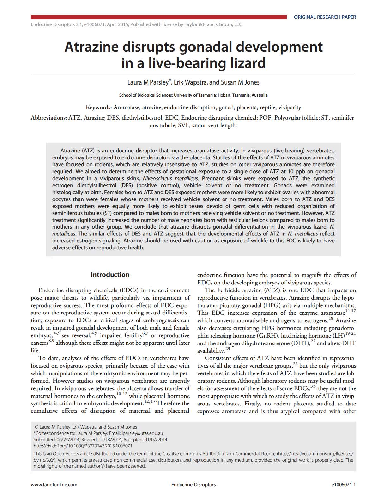# **Atrazine disrupts gonadal development in a live-bearing lizard**

Laura M Parsley\*, Erik Wapstra, and Susan M Jones

School of Biological Sciences; University of Tasmania; Hobart, Tasmania, Australia

Keywords: Aromatase, atrazine, endocrine disruption, gonad, placenta, reptile, viviparity

Abbreviations: ATZ, Atrazine; DES, diethylstilbestrol; EDC, Endocrine disrupting chemical; POF, Polyovular follicle; ST, seminifer ous tubule; SVL, snout vent length.

Atrazine (ATZ) is an endocrine disruptor that increases aromatase activity. In viviparous (live-bearing) vertebrates, embryos may be exposed to endocrine disruptors via the placenta. Studies of the effects of ATZ in viviparous amniotes have focused on rodents, which are relatively insensitive to ATZ: studies on other viviparous amniotes are therefore required. We aimed to determine the effects of gestational exposure to a single dose of ATZ at 10 ppb on gonadal development in a viviparous skink. Niveoscincus metallicus. Pregnant skinks were exposed to ATZ, the synthetic estrogen diethylstilbestrol (DES) (positive control), vehicle solvent or no treatment. Gonads were examined histologically at birth. Females born to ATZ and DES exposed mothers were more likely to exhibit ovaries with abnormal oocytes than were females whose mothers received vehicle solvent or no treatment. Males born to ATZ and DES exposed mothers were equally more likely to exhibit testes devoid of germ cells with reduced organization of seminiferous tubules (ST) compared to males born to mothers receiving vehicle solvent or no treatment. However, ATZ treatment significantly increased the number of male neonates born with testicular lesions compared to males born to mothers in any other group. We conclude that atrazine disrupts gonadal differentiation in the viviparous lizard, N. metallicus. The similar effects of DES and ATZ suggest that the developmental effects of ATZ in N. metallicus reflect increased estrogen signaling. Atrazine should be used with caution as exposure of wildlife to this EDC is likely to have adverse effects on reproductive health.

## **Introduction**

Endocrine disrupting chemicals (EDCs) in the environment pose major threats to wildlife, particularly via impairment of reproductive success. The most profound effects of EDC expo sure on the reproductive system occur during sexual differentia tion; exposure to EDCs at critical stages of embryogenesis can result in impaired gonadal development of both male and female embryos,  $1-3$  sex reversal,  $4.5$  impaired fertility  $6.7$  or reproductive cancers<sup>8,9</sup> although these effects might not be apparent until later life.

To date, analyses of the effects of EDCs in vertebrates have focused on oviparous species, primarily because of the ease with which manipulations of the embryonic environment may be per formed. However studies on viviparous vertebrates are urgently required. In viviparous vertebrates, the placenta allows transfer of maternal hormones to the embryo,  $10-12$  while placental hormone synthesis is critical to embryonic development.<sup>12,13</sup> Therefore the cumulative effects of disruption of maternal and placental

endocrine function have the potential to magnify the effects of EDCs on the developing embryos of viviparous species.

The herbicide atrazine (ATZ) is one EDC that impacts on reproductive function in vertebrates. Atrazine disrupts the hypo thalamo pituitary gonadal (HPG) axis via multiple mechanisms. This EDC increases expression of the enzyme aromatase<sup>14-17</sup> which converts aromatisable androgens to estrogens.<sup>18</sup> Atrazine also decreases circulating HPG hormones including gonadotro phin releasing hormone (GnRH), luteinizing hormone (LH)<sup>19-21</sup> and the androgen dihydrotestosterone (DHT),<sup>22</sup> and alters DHT availability.<sup>23</sup>

Consistent effects of ATZ have been identified in representa tives of all the major vertebrate groups,<sup>22</sup> but the only viviparous vertebrates in which the effects of ATZ have been studied are lab oratory rodents. Although laboratory rodents may be useful mod els for assessment of the effects of some EDCs,<sup>3,9</sup> they are not the most appropriate with which to study the effects of ATZ in vivip arous vertebrates. Firstly, no rodent placenta studied to date expresses aromatase and is thus atypical compared with other

This is an Open Access article distributed under the terms of the Creative Commons Attribution Non Commerdal license (http//creativecommons.org/licenses/ by nc/3.0/), which permits unrestricted non commercial use, distribution, and reproduction in any medium, provided the original work is properly cited. The moral rights of the named author(s) have been asserted.

<sup>0</sup> laura M Parsley, Erik Wapstra, and Susan M Jones

<sup>\*</sup>Correspondence to: laura M Parsley; Email: lparsley@utas.edu.au

Submitted: ()6124/2014; Revised: 12/18/2014; Accepted: 01107/2014

http//dx.doi.org/10.1080/232737472015.1 006071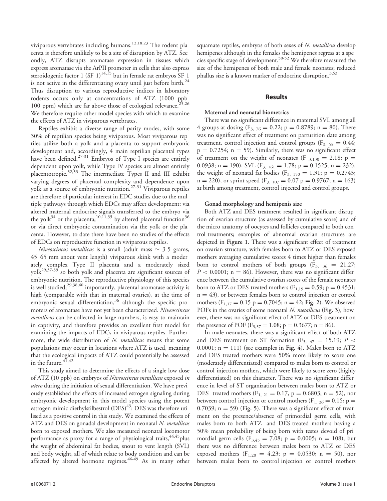viviparous vertebrates including humans.<sup>12,18,23</sup> The rodent pla centa is therefore unlikely to be a site of disruption by ATZ. Sec ondly, ATZ disrupts aromatase expression in tissues which express aromatase via the ArPII promoter in cells that also express steroidogenic factor 1 (SF 1)<sup>14,15</sup> but in female rat embryos SF 1 is not active in the differentiating ovary until just before birth. $^{24}$ Thus disruption to various reproductive indices in laboratory rodents occurs only at concentrations of ATZ (1000 ppb 100 ppm) which are far above those of ecological relevance.<sup>25,26</sup> We therefore require other model species with which to examine the effects of ATZ in viviparous vertebrates.

Reptiles exhibit a diverse range of parity modes, with some 30% of reptilian species being viviparous. Most viviparous rep tiles utilize both a yolk and a placenta to support embryonic development and, accordingly, 4 main reptilian placental types have been defined.<sup>27-31</sup> Embryos of Type I species are entirely dependent upon yolk, while Type IV species are almost entirely placentotropic.<sup>32,33</sup> The intermediate Types II and III exhibit varying degrees of placental complexity and dependence upon yolk as a source of embryonic nutrition.<sup>27-31</sup> Viviparous reptiles are therefore of particular interest in EDC studies due to the mul tiple pathways through which EDCs may affect development: via altered maternal endocrine signals transferred to the embryo via the yolk<sup>34</sup> or the placenta;<sup>10,11,35</sup> by altered placental function<sup>36</sup> or via direct embryonic contamination via the yolk or the pla centa. However, to date there have been no studies of the effects of EDCs on reproductive function in viviparous reptiles.

Niveoscincus metallicus is a small (adult mass  $\sim$  3.5 grams, 45 65 mm snout vent length) viviparous skink with a moder ately complex Type II placenta and a moderately sized  $y$ olk<sup>29,37-39</sup> so both yolk and placenta are significant sources of embryonic nutrition. The reproductive physiology of this species is well studied;<sup>29,38,40</sup> importantly, placental aromatase activity is high (comparable with that in maternal ovaries), at the time of embryonic sexual differentiation,  $36$  although the specific pro moters of aromatase have not yet been characterized. Niveoscincus metallicus can be collected in large numbers, is easy to maintain in captivity, and therefore provides an excellent first model for examining the impacts of EDCs in viviparous reptiles. Further more, the wide distribution of N. metallicus means that some populations may occur in locations where ATZ is used, meaning that the ecological impacts of ATZ could potentially be assessed in the future.  $41,42$ 

This study aimed to determine the effects of a single low dose of ATZ (10 ppb) on embryos of Niveoscincus metallicus exposed in utero during the initiation of sexual differentiation. We have previ ously established the effects of increased estrogen signaling during embryonic development in this model species using the potent estrogen mimic diethylstilbestrol  $(DES)^{43}$ : DES was therefore uti lised as a positive control in this study. We examined the effects of ATZ and DES on gonadal development in neonatal N. metallicus born to exposed mothers. We also measured neonatal locomotor performance as proxy for a range of physiological traits,<sup>44,45</sup>plus the weight of abdominal fat bodies, snout to vent length (SVL) and body weight, all of which relate to body condition and can be affected by altered hormone regimes.  $46-49$  As in many other

squamate reptiles, embryos of both sexes of N. metallicus develop hemipenes although in the females the hemipenes regress at a spe cies specific stage of development.<sup>50-52</sup> We therefore measured the size of the hemipenes of both male and female neonates; reduced phallus size is a known marker of endocrine disruption.<sup>3,53</sup>

# Results

# Maternal and neonatal biometrics

There was no significant difference in maternal SVL among all 4 groups at dosing ( $F_{3, 76} = 0.22$ ; p = 0.8789; n = 80). There was no significant effect of treatment on parturition date among treatment, control injection and control groups ( $F_{3, 58} = 0.44$ ;  $p = 0.7254$ ; n = 59). Similarly, there was no significant effect of treatment on the weight of neonates (F  $_{3,130} = 2.18$ ; p = 0.0938; n = 190), SVL ( $F_{3, 161} = 1.78$ ; p = 0.1525; n = 232), the weight of neonatal fat bodies ( $F_{3, 150} = 1.31$ ; p = 0.2743;  $n = 220$ ), or sprint speed (F<sub>3, 107</sub> = 0.07 p = 0.9767; n = 163) at birth among treatment, control injected and control groups.

# Gonad morphology and hemipenis size

Both ATZ and DES treatment resulted in significant disrup tion of ovarian structure (as assessed by cumulative score) and of the micro anatomy of oocytes and follicles compared to both con trol treatments; examples of abnormal ovarian structures are depicted in Figure 1. There was a significant effect of treatment on ovarian structure, with females born to ATZ or DES exposed mothers averaging cumulative scores 4 times higher than females born to control mothers of both groups  $(F_{3, 36} = 21.27;$  $P < 0.0001$ ; n = 86). However, there was no significant differ ence between the cumulative ovarian scores of the female neonates born to ATZ or DES treated mothers ( $F_{1,19} = 0.59$ ; p = 0.4531;  $n = 43$ ), or between females born to control injection or control mothers ( $F_{1,17} = 0.15$  p = 0.7045; n = 42; Fig. 2). We observed POFs in the ovaries of some neonatal N. metallicus (Fig. 3), how ever, there was no significant effect of ATZ or DES treatment on the presence of POF (F<sub>3,37</sub> = 1.08; p = 0.3677; n = 86).

In male neonates, there was a significant effect of both ATZ and DES treatment on ST formation ( $F_{3, 47} = 15.19; P <$ 0.0001;  $n = 111$ ) (see examples in Fig. 4). Males born to ATZ and DES treated mothers were 50% more likely to score one (moderately differentiated) compared to males born to control or control injection mothers, which were likely to score zero (highly differentiated) on this character. There was no significant differ ence in level of ST organization between males born to ATZ or DES treated mothers (F<sub>1, 21</sub> = 0.17, p = 0.6803; n = 52), nor between control injection or control mothers ( $F_{1, 26} = 0.15$ ; p =  $0.7039$ ; n = 59) (Fig. 5). There was a significant effect of treat ment on the presence/absence of primordial germ cells, with males born to both ATZ and DES treated mothers having a 50% mean probability of being born with testes devoid of pri mordial germ cells ( $F_{3,45} = 7.08$ ; p = 0.0005; n = 108), but there was no difference between males born to ATZ or DES exposed mothers ( $F_{1,20} = 4.23$ ; p = 0.0530; n = 50), nor between males born to control injection or control mothers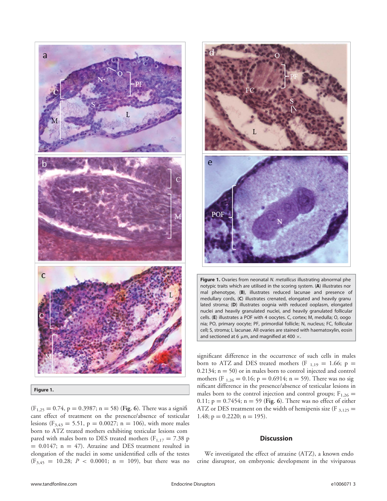

Figure 1.

 $(F_{1,25} = 0.74, p = 0.3987; n = 58)$  (Fig. 6). There was a significant effect of treatment on the presence/absence of testicular lesions ( $F_{3,43} = 5.51$ , p = 0.0027; n = 106), with more males born to ATZ treated mothers exhibiting testicular lesions com pared with males born to DES treated mothers ( $F_{1,17} = 7.38$  p  $= 0.0147$ ; n  $= 47$ ). Atrazine and DES treatment resulted in elongation of the nuclei in some unidentified cells of the testes  $(F_{3,45} = 10.28; P < 0.0001; n = 109)$ , but there was no



Figure 1. Ovaries from neonatal N. metallicus illustrating abnormal phe notypic traits which are utilised in the scoring system. (A) illustrates nor mal phenotype, (B), illustrates reduced lacunae and presence of medullary cords, (C) illustrates crenated, elongated and heavily granu lated stroma; (D) illustrates oognia with reduced ooplasm, elongated nuclei and heavily granulated nuclei, and heavily granulated follicular cells. (E) illustrates a POF with 4 oocytes. C, cortex; M, medulla; O, oogo nia; PO, primary oocyte; PF, primordial follicle; N, nucleus; FC, follicular cell; S, stroma; L lacunae. All ovaries are stained with haematoxylin, eosin and sectioned at 6  $\mu$ m, and magnified at 400  $\times$ .

significant difference in the occurrence of such cells in males born to ATZ and DES treated mothers (F  $_{1,19}$  = 1.66; p =  $0.2134$ ; n = 50) or in males born to control injected and control mothers (F<sub>1,26</sub> = 0.16; p = 0.6914; n = 59). There was no sig nificant difference in the presence/absence of testicular lesions in males born to the control injection and control groups;  $F_{1,26}$  = 0.11;  $p = 0.7454$ ;  $n = 59$  (Fig. 6). There was no effect of either ATZ or DES treatment on the width of hemipenis size (F  $_{3,125}$  = 1.48;  $p = 0.2220$ ; n = 195).

# **Discussion**

We investigated the effect of atrazine (ATZ), a known endo crine disruptor, on embryonic development in the viviparous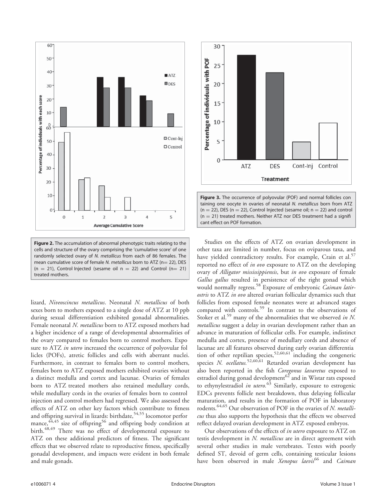

Figure 2. The accumulation of abnormal phenotypic traits relating to the cells and structure of the ovary comprising the 'cumulative score' of one randomly selected ovary of N. metallicus from each of 86 females. The mean cumulative score of female N. metallicus born to ATZ ( $n=$  22), DES  $(n = 21)$ , Control Injected (sesame oil n = 22) and Control (n= 21) treated mothers.

lizard, Niveoscincus metallicus. Neonatal N. metallicus of both sexes born to mothers exposed to a single dose of ATZ at 10 ppb during sexual differentiation exhibited gonadal abnormalities. Female neonatal N. metallicus born to ATZ exposed mothers had a higher incidence of a range of developmental abnormalities of the ovary compared to females born to control mothers. Expo sure to ATZ in utero increased the occurrence of polyovular fol licles (POFs), atretic follicles and cells with aberrant nuclei. Furthermore, in contrast to females born to control mothers, females born to ATZ exposed mothers exhibited ovaries without a distinct medulla and cortex and lacunae. Ovaries of females born to ATZ treated mothers also retained medullary cords, while medullary cords in the ovaries of females born to control injection and control mothers had regressed. We also assessed the effects of ATZ on other key factors which contribute to fitness and offspring survival in lizards: birthdate,  $54,55$  locomotor perfor mance, $44,45$  size of offspring<sup>56</sup> and offspring body condition at birth.<sup>48,49</sup> There was no effect of developmental exposure to ATZ on these additional predictors of fitness. The significant effects that we observed relate to reproductive fitness, specifically gonadal development, and impacts were evident in both female and male gonads.



Figure 3. The occurrence of polyovular (POF) and normal follicles con taining one oocyte in ovaries of neonatal N. metallicus born from ATZ  $(n = 22)$ , DES (n = 22), Control Injected (sesame oil; n = 22) and control  $(n = 21)$  treated mothers. Neither ATZ nor DES treatment had a signifi cant effect on POF formation.

Studies on the effects of ATZ on ovarian development in other taxa are limited in number, focus on oviparous taxa, and have yielded contradictory results. For example, Crain et al. $57$ reported no effect of in ovo exposure to ATZ on the developing ovary of Alligator mississippiensis, but in ovo exposure of female Gallus gallus resulted in persistence of the right gonad which would normally regress.<sup>58</sup> Exposure of embryonic Caiman latirostris to ATZ in ovo altered ovarian follicular dynamics such that follicles from exposed female neonates were at advanced stages compared with controls.<sup>59</sup> In contrast to the observations of Stoker et al.<sup>59</sup> many of the abnormalities that we observed in N. metallicus suggest a delay in ovarian development rather than an advance in maturation of follicular cells. For example, indistinct medulla and cortex, presence of medullary cords and absence of lacunae are all features observed during early ovarian differentia tion of other reptilian species,  $52,60,61$  including the congeneric species N. ocellatus.<sup>52,60,61</sup> Retarded ovarian development has also been reported in the fish Coregonus lavaretus exposed to estradiol during gonad development $^{62}$  and in Wistar rats exposed to ethynylestradiol in utero.<sup>63</sup> Similarly, exposure to estrogenic EDCs prevents follicle nest breakdown, thus delaying follicular maturation, and results in the formation of POF in laboratory rodents.<sup>64,65</sup> Our observation of POF in the ovaries of N. metallicus thus also supports the hypothesis that the effects we observed reflect delayed ovarian development in ATZ exposed embryos.

Our observations of the effects of in utero exposure to ATZ on testis development in N. metallicus are in direct agreement with several other studies in male vertebrates. Testes with poorly defined ST, devoid of germ cells, containing testicular lesions have been observed in male Xenopus laevis<sup>66</sup> and Caiman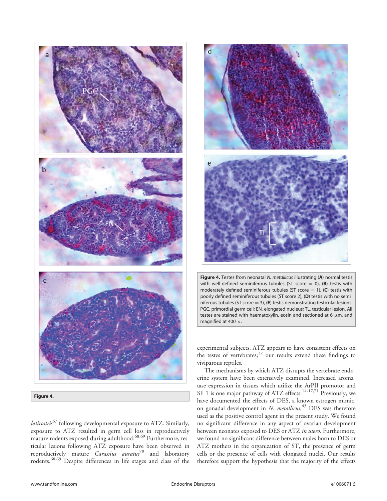

latirostris<sup>67</sup> following developmental exposure to ATZ. Similarly, exposure to ATZ resulted in germ cell loss in reproductively mature rodents exposed during adulthood.<sup>68,69</sup> Furthermore, tes ticular lesions following ATZ exposure have been observed in reproductively mature *Carassius auratus*<sup>70</sup> and laboratory rodents.68,69 Despite differences in life stages and class of the



Figure 4. Testes from neonatal N. metallicus illustrating (A) normal testis with well defined seminiferous tubules (ST score  $= 0$ ), (B) testis with moderately defined seminiferous tubules (ST score  $= 1$ ), (C) testis with poorly defined seminiferous tubules (ST score 2), (D) testis with no semi niferous tubules (ST score = 3), (E) testis demonstrating testicular lesions. PGC, primordial germ cell; EN, elongated nucleus; TL, testicular lesion. All testes are stained with haematoxylin, eosin and sectioned at 6  $\mu$ m, and magnified at 400  $\times$ .

experimental subjects, ATZ appears to have consistent effects on the testes of vertebrates; $^{22}$  our results extend these findings to viviparous reptiles.

The mechanisms by which ATZ disrupts the vertebrate endo crine system have been extensively examined. Increased aroma tase expression in tissues which utilize the ArPII promotor and SF 1 is one major pathway of ATZ effects.<sup>14-17,71</sup> Previously, we have documented the effects of DES, a known estrogen mimic, on gonadal development in N. metallicus;<sup>43</sup> DES was therefore used as the positive control agent in the present study. We found no significant difference in any aspect of ovarian development between neonates exposed to DES or ATZ in utero. Furthermore, we found no significant difference between males born to DES or ATZ mothers in the organization of ST, the presence of germ cells or the presence of cells with elongated nuclei. Our results therefore support the hypothesis that the majority of the effects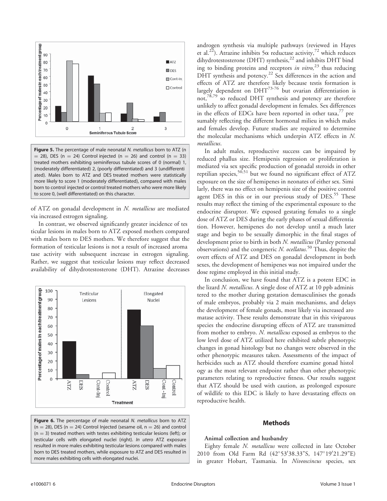

Figure 5. The percentage of male neonatal N. metallicus born to ATZ (n  $=$  28), DES (n  $=$  24) Control injected (n  $=$  26) and control (n  $=$  33) treated mothers exhibiting seminiferous tubule scores of 0 (normal) 1, (moderately differentiated) 2, (poorly differentiated) and 3 (undifferenti ated). Males born to ATZ and DES treated mothers were statistically more likely to score 1 (moderately differentiated), compared with males born to control injected or control treated mothers who were more likely to score 0, (well differentiated) on this character.

of ATZ on gonadal development in N. metallicus are mediated via increased estrogen signaling.

In contrast, we observed significantly greater incidence of tes ticular lesions in males born to ATZ exposed mothers compared with males born to DES mothers. We therefore suggest that the formation of testicular lesions is not a result of increased aroma tase activity with subsequent increase in estrogen signaling. Rather, we suggest that testicular lesions may reflect decreased availability of dihydrotestosterone (DHT). Atrazine decreases



Figure 6. The percentage of male neonatal N. metallicus born to ATZ  $(n = 28)$ , DES (n = 24) Control Injected (sesame oil, n = 26) and control  $(n = 3)$  treated mothers with testes exhibiting testicular lesions (left); or testicular cells with elongated nuclei (right). In utero ATZ exposure resulted in more males exhibiting testicular lesions compared with males born to DES treated mothers, while exposure to ATZ and DES resulted in more males exhibiting cells with elongated nuclei.

androgen synthesis via multiple pathways (reviewed in Hayes et al.<sup>22</sup>). Atrazine inhibits  $5\alpha$  reductase activity,<sup>72</sup> which reduces dihydrotestosterone (DHT) synthesis,<sup>22</sup> and inhibits DHT bind ing to binding proteins and receptors in vitro,  $23$  thus reducing DHT synthesis and potency.<sup>22</sup> Sex differences in the action and effects of ATZ are therefore likely because testis formation is largely dependent on  $\text{DHT}^{73\text{-}76}$  but ovarian differentiation is not,<sup>78,79</sup> so reduced DHT synthesis and potency are therefore unlikely to affect gonadal development in females. Sex differences in the effects of EDCs have been reported in other taxa, $\frac{7}{7}$  pre sumably reflecting the different hormonal milieu in which males and females develop. Future studies are required to determine the molecular mechanisms which underpin ATZ effects in N. metallicus.

In adult males, reproductive success can be impaired by reduced phallus size. Hemipenis regression or proliferation is mediated via sex specific production of gonadal steroids in other reptilian species,  $50,51$  but we found no significant effect of ATZ exposure on the size of hemipenes in neonates of either sex. Simi larly, there was no effect on hemipenis size of the positive control agent DES in this or in our previous study of DES.<sup>55</sup> These results may reflect the timing of the experimental exposure to the endocrine disruptor. We exposed gestating females to a single dose of ATZ or DES during the early phases of sexual differentia tion. However, hemipenes do not develop until a much later stage and begin to be sexually dimorphic in the final stages of development prior to birth in both N. metallicus (Parsley personal observations) and the congeneric N. ocellatus.<sup>50</sup> Thus, despite the overt effects of ATZ and DES on gonadal development in both sexes, the development of hemipenes was not impaired under the dose regime employed in this initial study.

In conclusion, we have found that ATZ is a potent EDC in the lizard N. *metallicus*. A single dose of ATZ at 10 ppb adminis tered to the mother during gestation demasculinises the gonads of male embryos, probably via 2 main mechanisms, and delays the development of female gonads, most likely via increased aro matase activity. These results demonstrate that in this viviparous species the endocrine disrupting effects of ATZ are transmitted from mother to embryo. N. metallicus exposed as embryos to the low level dose of ATZ utilized here exhibited subtle phenotypic changes in gonad histology but no changes were observed in the other phenotypic measures taken. Assessments of the impact of herbicides such as ATZ should therefore examine gonad histol ogy as the most relevant endpoint rather than other phenotypic parameters relating to reproductive fitness. Our results suggest that ATZ should be used with caution, as prolonged exposure of wildlife to this EDC is likely to have devastating effects on reproductive health.

# Methods

## Animal collection and husbandry

Eighty female N. metallicus were collected in late October 2010 from Old Farm Rd (42°53′38.33"S, 147°19′21.29"E) in greater Hobart, Tasmania. In Niveoscincus species, sex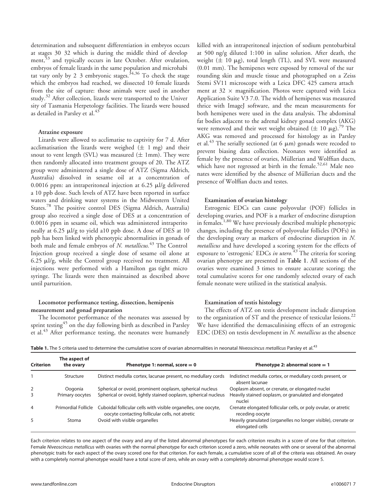determination and subsequent differentiation in embryos occurs at stages 30 32 which is during the middle third of develop ment,<sup>53</sup> and typically occurs in late October. After ovulation, embryos of female lizards in the same population and microhabi tat vary only by 2 3 embryonic stages.<sup>34,36</sup> To check the stage which the embryos had reached, we dissected 10 female lizards from the site of capture: those animals were used in another study.<sup>32</sup> After collection, lizards were transported to the Univer sity of Tasmania Herpetology facilities. The lizards were housed as detailed in Parsley et al.<sup>43</sup>

## Atrazine exposure

Lizards were allowed to acclimatise to captivity for 7 d. After acclimatisation the lizards were weighed  $(\pm 1$  mg) and their snout to vent length (SVL) was measured  $(\pm 1mm)$ . They were then randomly allocated into treatment groups of 20. The ATZ group were administered a single dose of ATZ (Sigma Aldrich, Australia) dissolved in sesame oil at a concentration of 0.0016 ppm: an intraperitoneal injection at  $6.25 \mu l/g$  delivered a 10 ppb dose. Such levels of ATZ have been reported in surface waters and drinking water systems in the Midwestern United States.<sup>78</sup> The positive control DES (Sigma Aldrich, Australia) group also received a single dose of DES at a concentration of 0.0016 ppm in sesame oil, which was administered intraperito neally at 6.25 µl/g to yield a10 ppb dose. A dose of DES at 10 ppb has been linked with phenotypic abnormalities in gonads of both male and female embryos of N. metallicus.<sup>43</sup> The Control Injection group received a single dose of sesame oil alone at 6.25 ml/g, while the Control group received no treatment. All injections were performed with a Hamilton gas tight micro syringe. The lizards were then maintained as described above until parturition.

# Locomotor performance testing, dissection, hemipenis measurement and gonad preparation

The locomotor performance of the neonates was assessed by sprint testing<sup>45</sup> on the day following birth as described in Parsley et al.<sup>43</sup> After performance testing, the neonates were humanely killed with an intraperitoneal injection of sodium pentobarbital at 500 ng/g diluted 1:100 in saline solution. After death, the weight  $(\pm 10 \mu g)$ , total length (TL), and SVL were measured (0.01 mm). The hemipenes were exposed by removal of the sur rounding skin and muscle tissue and photographed on a Zeiss Stemi SV11 microscope with a Leica DFC 425 camera attach ment at  $32 \times$  magnification. Photos were captured with Leica Application Suite V3 7.0. The width of hemipenes was measured thrice with ImageJ software, and the mean measurements for both hemipenes were used in the data analysis. The abdominal fat bodies adjacent to the adrenal kidney gonad complex (AKG) were removed and their wet weight obtained ( $\pm$  10 µg).<sup>79</sup> The AKG was removed and processed for histology as in Parsley et al.<sup>43</sup> The serially sectioned (at 6  $\mu$ m) gonads were recoded to prevent biasing data collection. Neonates were identified as female by the presence of ovaries, Müllerian and Wolffian ducts, which have not regressed at birth in the female.<sup>52,61</sup> Male neo nates were identified by the absence of Müllerian ducts and the presence of Wolffian ducts and testes.

## Examination of ovarian histology

Estrogenic EDCs can cause polyovular (POF) follicles in developing ovaries, and POF is a marker of endocrine disruption in females.<sup>1,80</sup> We have previously described multiple phenotypic changes, including the presence of polyovular follicles (POFs) in the developing ovary as markers of endocrine disruption in N. metallicus and have developed a scoring system for the effects of exposure to 'estrogenic' EDCs in utero.<sup>43</sup> The criteria for scoring ovarian phenotype are presented in Table 1. All sections of the ovaries were examined 3 times to ensure accurate scoring; the total cumulative scores for one randomly selected ovary of each female neonate were utilized in the statistical analysis.

## Examination of testis histology

The effects of ATZ on testis development include disruption to the organization of ST and the presence of testicular lesions.<sup>22</sup> We have identified the demasculinising effects of an estrogenic EDC (DES) on testis development in N. metallicus as the absence

| <b>Table 1.</b> The 5 criteria used to determine the cumulative score of ovarian abnormalities in neonatal <i>Niveoscincus metallicus</i> Parslev et al. <sup>43</sup> |  |
|------------------------------------------------------------------------------------------------------------------------------------------------------------------------|--|
|------------------------------------------------------------------------------------------------------------------------------------------------------------------------|--|

| <b>Criterion</b> | The aspect of<br>the ovary | Phenotype 1: normal, score $= 0$                                                                                  | Phenotype 2: abnormal score $= 1$                                                 |  |
|------------------|----------------------------|-------------------------------------------------------------------------------------------------------------------|-----------------------------------------------------------------------------------|--|
|                  |                            |                                                                                                                   |                                                                                   |  |
|                  | Structure                  | Distinct medulla cortex, lacunae present, no medullary cords                                                      | Indistinct medulla cortex, or medullary cords present, or<br>absent lacunae       |  |
| 2                | Oogonia                    | Spherical or ovoid, prominent ooplasm, spherical nucleus                                                          | Ooplasm absent, or crenate, or elongated nuclei                                   |  |
| 3                | Primary oocytes            | Spherical or ovoid, lightly stained ooplasm, spherical nucleus                                                    | Heavily stained ooplasm, or granulated and elongated<br>nuclei                    |  |
| 4                | <b>Primordial Follicle</b> | Cuboidal follicular cells with visible organelles, one oocyte,<br>oocyte contacting follicular cells, not atretic | Crenate elongated follicular cells, or poly ovular, or atretic<br>receding oocyte |  |
| 5                | Stoma                      | Ovoid with visible organelles                                                                                     | Heavily granulated (organelles no longer visible), crenate or<br>elongated cells  |  |

Each criterion relates to one aspect of the ovary and any of the listed abnormal phenotypes for each criterion results in a score of one for that criterion. Female Niveoscincus metallicus with ovaries with the normal phenotype for each criterion scored a zero, while neonates with one or several of the abnormal phenotypic traits for each aspect of the ovary scored one for that criterion. For each female, a cumulative score of all of the criteria was obtained. An ovary with a completely normal phenotype would have a total score of zero, while an ovary with a completely abnormal phenotype would score 5.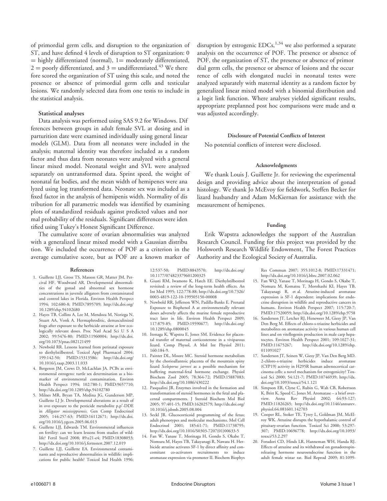of primordial germ cells, and disruption to the organization of ST, and have defined 4 levels of disruption to ST organization: 0  $=$  highly differentiated (normal),  $1=$  moderately differentiated,  $2 =$  poorly differentiated, and  $3 =$  undifferentiated.<sup>43</sup> We there fore scored the organization of ST using this scale, and noted the presence or absence of primordial germ cells and testicular lesions. We randomly selected data from one testis to include in the statistical analysis.

## Statistical analyses

Data analysis was performed using SAS 9.2 for Windows. Dif ferences between groups in adult female SVL at dosing and in parturition date were examined individually using general linear models (GLM). Data from all neonates were included in the analysis; maternal identity was therefore included as a random factor and thus data from neonates were analyzed with a general linear mixed model. Neonatal weight and SVL were analyzed separately on untransformed data. Sprint speed, the weight of neonatal fat bodies, and the mean width of hemipenes were ana lyzed using log transformed data. Neonate sex was included as a fixed factor in the analysis of hemipenis width. Normality of dis tribution for all parametric models was identified by examining plots of standardized residuals against predicted values and nor mal probability of the residuals. Significant differences were iden tified using Tukey's Honest Significant Difference.

The cumulative score of ovarian abnormalities was analyzed with a generalized linear mixed model with a Gaussian distribu tion. We included the occurrence of POF as a criterion in the average cumulative score, but as POF are a known marker of

#### References

- 1. Guillette LJJ, Gross TS, Masson GR, Matter JM, Percival HF, Woodward AR. Developmental abnormalities of the gonad and abnormal sex hormone concentrations in juvenile alligators from contaminated and control lakes in Florida. Environ Health Perspect 1994; 102:680-8; PMID:7895709; http://dx.doi.org/ 10.1289/ehp.94102680
- 2. Hayes TB, Collins A, Lee M, Mendoza M, Noriega N, Stuart AA, Vonk A. Hermaphroditic, demasculinized frogs after exposure to the herbicide atrazine at low ecologically relevant doses. Proc Natl Acad Sci U S A 2002; 99:5476-80; PMID:11960004; http://dx.doi. org/10.1073/pnas.082121499
- 3. Newbold RR. Lessons learned from perinatal exposure to diethylstilbestrol. Toxicol Appl Pharmacol 2004; 199:142-50; PMID:15313586; http://dx.doi.org/ 10.1016/j.taap.2003.11.033
- 4. Bergeron JM, Crews D, McLachlan JA. PCBs as environmental estrogens: turtle sex determination as a biomarker of environmental contamination. Environ Health Perspect 1994; 102:780-1; PMID:9657710; http://dx.doi.org/10.1289/ehp.94102780
- 5. Milnes MR, Bryan TA, Medina JG, Gunderson MP, Guillette LJ Jr. Developmental alterations as a result of in ovo exposure to the pesticide metabolite p,p'-DDE in Alligator mississippiensis. Gen Comp Endocrinol 2005; 144:257-63; PMID:16112671; http://dx.doi. org/10.1016/j.ygcen.2005.06.013
- 6. Guillette LJJ, Edwards TM. Environmental influences on fertility: can we learn lessons from studies of wildlife? Fertil Steril 2008; 89:e21-e4; PMID:18308053; http://dx.doi.org/10.1016/j.fertnstert.2007.12.019
- Guillette LJJ, Guillette EA. Environmental contaminants and reproductive abnormalities in wildlife: implications for public health? Toxicol Ind Health 1996;

disruption by estrogenic  $EDCs$ ,<sup>1,34</sup> we also performed a separate analysis on the occurrence of POF. The presence or absence of POF, the organization of ST, the presence or absence of primor dial germ cells, the presence or absence of lesions and the occur rence of cells with elongated nuclei in neonatal testes were analyzed separately with maternal identity as a random factor by generalized linear mixed model with a binomial distribution and a logit link function. Where analyses yielded significant results, appropriate preplanned post hoc comparisons were made and  $\alpha$ was adjusted accordingly.

## Disclosure of Potential Conflicts of Interest

No potential conflicts of interest were disclosed.

## Acknowledgments

We thank Louis J. Guillette Jr. for reviewing the experimental design and providing advice about the interpretation of gonad histology. We thank Jo McEvoy for fieldwork, Steffen Becker for lizard husbandry and Adam McKiernan for assistance with the measurement of hemipenes.

## Funding

Erik Wapstra acknowledges the support of the Australian Research Council. Funding for this project was provided by the Holsworth Research Wildlife Endowment, The Forest Practices Authority and the Ecological Society of Australia.

12:537-50; PMID:8843570; http://dx.doi.org/ 10.1177/074823379601200325

- 8. Giusti RM, Iwamoto K, Hatch EE. Diethylstilbestrol revisited: a review of the long-term health effects. An Int Med 1995; 122:778-88; http://dx.doi.org/10.7326/ 0003-4819-122-10-199505150-00008
- 9. Newbold RR, Jefferson WN, Padilla-Banks E. Prenatal Exposure to Bisphenol A at environmentally relevant doses adversely affects the murine female reproductive tract later in life. Environ Health Perspect 2009; 117:879-85; PMID:19590677; http://dx.doi.org/ 10.1289/ehp.0800045
- 10. Itonaga K, Wapstra E, Jones SM. Evidence for placental transfer of maternal corticosterone in a viviparous lizard. Comp Physol, A Mol Int Physiol 2011; 160:184-9.
- 11. Painter DL, Moore MC. Steroid hormone metabolism by the chorioallantoic placenta of the mountain spiny lizard Sceloporus jarrovi as a possible mechanism for buffering maternal-fetal hormone exchange. Physiol Biochem Zool 2005; 78:364-72; PMID:15887083; http://dx.doi.org/10.1086/430222
- 12. Pasqualini JR. Enzymes involved in the formation and transformation of steroid hormones in the fetal and placental compartments. J Steroid Biochem Mol Biol 2005; 97:401-15; PMID:16202579; http://dx.doi.org/ 10.1016/j.jsbmb.2005.08.004
- 13. Seckl JR. Glucocorticoid programming of the fetus; adult phenotypes and molecular mechanisms. Mol Cell Endocrinol 2001; 185:61-71; PMID:11738795; http://dx.doi.org/10.1016/S0303-7207(01)00633-5
- 14. Fan W, Yanase T, Morinaga H, Gondo S, Okabe T, Nomura M, Hayes TB, Takayanagi R, Nawata H. Herbicide atrazine activates SF-1 by direct affinity and concomitant co-activators recruitments to induce aromatase expression via promoter II. Biochem Biophys

Res Commun 2007; 355:1012-8; PMID:17331471; http://dx.doi.org/10.1016/j.bbrc.2007.02.062

- 15. Fan WQ, Yanase T, Morinaga H, Gondo S, Okabe T, Nomura M, Komatsu T, Morohashi KI, Hayes TB, Takayanagi R, et al. Atrazine-induced aromatase expression is SF-1 dependent: implications for endocrine disruption in wildlife and reproductive cancers in humans. Environ Health Perspect 2007; 115:720-7; PMID:17520059; http://dx.doi.org/10.1289/ehp.9758
- 16. Sanderson JT, Letcher RJ, Heneweer M, Giesy JP, Van Den Berg M. Effects of chloro-s-triazine herbicides and metabolites on aromatase activity in various human cell lines and on vitellogenin production in male carp hepatocytes. Environ Health Perspect 2001; 109:1027-31; PMID:11675267; http://dx.doi.org/10.1289/ehp. 011091027
- 17. Sanderson JT, Seinen W, Giesy JP, Van Den Berg MD. 2-chloro-s-triazine herbicides induce aromatase (CYP19) activity in H295R human adrenocortical carcinoma cells: a novel mechanism for estrogenicity? Toxicol Sci 2000; 54:121-7; PMID:10746939; http://dx. doi.org/10.1093/toxsci/54.1.121
- 18. Simpson ER, Clyne C, Rubin G, Wah CB, Robertson K, Britt K, Speed C, Jones M. Aromatase – a brief overview. Annu Rev Physiol 2002; 64:93-127; PMID:11826265; http://dx.doi.org/10.1146/annurev. physiol.64.081601.142703
- 19. Cooper RL, Stoker TE, Tyrey L, Goldman JM, McElroy WK. Atrazine disrupts the hypothalamic control of pituitary-ovarian function. Toxicol Sci 2000; 53:297- 307; PMID:10696778; http://dx.doi.org/10.1093/ toxsci/53.2.297
- 20. Foradori CD, Hinds LR, Hanneman WH, Handa RJ. Effects of atrazine and its withdrawal on gonadotropinreleasing hormone neuroendocrine function in the adult female wistar rat. Biol Reprod 2009; 81:1099-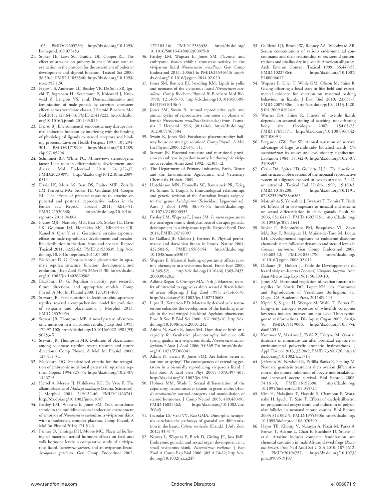105; PMID:19605789; http://dx.doi.org/10.1095/ biolreprod.109.077453

- 21. Stoker TE, Laws SC, Guidici DL, Cooper RL. The effect of atrazine on puberty in male Wistar rats: an evaluation in the protocol for the assessment of pubertal development and thyroid function. Toxicol Sci 2000; 58:50-9; PMID:11053540; http://dx.doi.org/10.1093/ toxsci/58.1.50
- 22. Hayes TB, Anderson LL, Beasley VR, De Solla SR, Iguchi T, Ingraham H, Kestemont P, Kniewald J, Kniewald Z, Langlois VS, et al. Demasculinization and feminization of male gonads by atrazine: consistent effects across vertebrate classes. J Steroid Biochem Mol Biol 2011; 127:64-73; PMID:21419222; http://dx.doi. org/10.1016/j.jsbmb.2011.03.015
- 23. Danzo BJ. Environmental xenobiotics may disrupt normal endocrine function by interfering with the binding of physiological ligands to steroid receptors and binding proteins. Environ Health Perspect 1997; 105:294- 301; PMID:9171990; http://dx.doi.org/10.1289/ ehp.97105294
- 24. Schimmer BP, White PC. Minireview: steroidogenic factor 1: its roles in differentiation, development, and disease. Mol Endocrinol 2010; 24:1322-37; PMID:20203099; http://dx.doi.org/10.1210/me.2009- 0519
- 25. Davis LK, Murr AS, Best DS, Fraites MJP, Zorrilla LM, Narotsky MG, Stoker TE, Goldman JM, Cooper RL. The effects of prenatal exposure to atrazine on pubertal and postnatal reproductive indices in the female rat. Reprod Toxicol 2011; 32:43-51; PMID:21530638; http://dx.doi.org/10.1016/j. reprotox.2011.04.004
- 26. Fraites MJP, Narotsky MG, Best DS, Stoker TE, Davis LK, Goldman JM, Hotchkiss MG, Klinefelter GR, Kamel A, Qian Y, et al. Gestational atrazine exposure: effects on male reproductive development and metabolite distribution in the dam, fetus, and neonate. Reprod Toxicol 2011; 32:52-63; PMID:21530639; http://dx. doi.org/10.1016/j.reprotox.2011.04.003
- 27. Blackburn D, G. Chorioallantoic placentation in squamate reptiles: structure, function, development, and evolution. J Exp Zool 1993; 266:414-30; http://dx.doi. org/10.1002/jez.1402660508
- 28. Blackburn D, G. Reptilian viviparity: past research, future directions, and appropriate models. Comp Physol, A Mol Int Physiol 2000; 127:391-409.
- 29. Stewart JR. Fetal nutrition in lecithotrophic squamate reptiles: toward a comprehensive model for evolution of viviparity and placentation. J Morphol 2013; PMID:23520054
- 30. Stewart JR, Thompson MB. A novel pattern of embryonic nutrition in a viviparous reptile. J Exp Biol 1993; 174:97-108; http://dx.doi.org/10.1016/0022-0981(93) 90253-K
- 31. Stewart JR, Thompson MB. Evolution of placentation among squamate reptiles: recent research and future directions. Comp Physol, A Mol Int Physiol 2000; 127:411-31.
- 32. Blackburn DG. Standardized criteria for the recognition of embryonic nutritional patterns in squamate reptiles. Copeia 1994:925-35; http://dx.doi.org/10.2307/ 1446715
- 33. Herrel A, Meyers JJ, Nishikawa KC, De Vree F. The allantoplacenta of Mabuya mabouya (Sauria, Scincidae). J Morphol 2001; 249:132-46; PMID:11466741; http://dx.doi.org/10.1002/jmor.1047
- 34. Parsley LM, Wapstra E, Jones SM. Yolk contributes steroid to the multidimensional endocrine environment of embryos of Niveoscincus metallicus, a viviparous skink with a moderately complex placenta. Comp Physol, A Mol Int Physiol 2014; 171:51-6.
- 35. Painter D, Jennings DH, Moore MC. Placental buffering of maternal steroid hormone effects on fetal and yolk hormone levels: a comparative study of a viviparous lizard, Sceloporus jarrovi, and an oviparous lizard, Sceloporus graciosus. Gen Comp Endocrinol 2002;

127:105-16; PMID:12383438; http://dx.doi.org/ 10.1016/S0016-6480(02)00075-8

- 36. Parsley LM, Wapstra E, Jones SM. Placental and embryonic tissues exhibit aromatase activity in the viviparous lizard Niveoscincus metallicus. Gen Comp Endocrinol 2014; 200:61-6; PMID:24631640; http:// dx.doi.org/10.1016/j.ygcen.2014.02.020
- 37. Jones SM, Bennett EJ, Swadling KM. Lipids in yolks and neonates of the viviparous lizard Niveoscincus metallicus. Comp Biochem Physiol B: Biochem Mol Biol 1998; 121:465-70; http://dx.doi.org/10.1016/S0305- 0491(98)10136-0
- 38. Jones SM, Swain R. Annual reproductive cycle and annual cycles of reproductive hormones in plasma of female Niveoscincus metallicus (Scincidae) from Tasmania. J Herpetol 1996; 30:140-6; http://dx.doi.org/ 10.2307/1565504
- 39. Swain R, Jones SM. Facultative placentotrophy: halfway house or strategic solution? Comp Physol, A Mol Int Physiol 2000; 127:441-51.
- 40. Stewart JR. Placental structure and nutritional provision to embryos in predominantly lecithotrophic viviparous reptiles. Amer Zool 1992; 32:303-12.
- 41. The Department of Primary Industries, Parks, Water and the Environment. Agricultural and Veterinary Chemcials. Hobart, 2009.
- 42. Hutchinson MN, Donnella SC, Baverstock PR, Krieg M, Simms S, Burgin S. Immunological relationships and generic revision of the Australian lizards assigned to the genus Leiolopisma (Scincidae: Lygosominae). Aust J Zool 1990; 38:535-54; http://dx.doi.org/ 10.1071/ZO9900535
- 43. Parsley LM, Wapstra E, Jones SM. In utero exposure to the oestrogen mimic diethylstilbestrol disrupts gonadal development in a viviparous reptile. Reprod Fertil Dev 2014; PMID:24718097
- 44. Le Galllard JF, Clobert J, Ferrière R. Physical performance and darwinian fitness in lizards. Nature 2004; 432:502-5; PMID:15565154; http://dx.doi.org/ 10.1038/nature03057
- 45. Wapstra E. Maternal basking opportunity affects juvenile phenotype in a viviparous lizard. Funct Ecol 2000;<br>14:345-52; http://dx.doi.org/10.1046/j.1365-2435. http://dx.doi.org/10.1046/j.1365-2435. 2000.00428.x
- 46. Adkins-Regan E, Ottinger MA, Park J. Maternal transfer of estradiol to egg yolks alters sexual differentiation of avian offspring. J Exp Zool 1995; 271:466-70; http://dx.doi.org/10.1002/jez.1402710608
- 47. Lipar JL, Ketterson ED. Maternally derived yolk testosterone enhances the development of the hatching muscle in the red-winged blackbird Agelaius phoeniceus. Proc R Soc B Biol Sci 2000; 267:2005-10; http://dx. doi.org/10.1098/rspb.2000.1242
- 48. Atkins N, Swain R, Jones SM. Does date of birth or a capacity for facultative placentotrophy influence offspring quality in a viviparous skink, Niveoscincus microlepidotus? Aust J Zool 2006; 54:369-74; http://dx.doi. org/10.1071/ZO06041
- 49. Atkins N, Swain R, Jones SMJ. Are babies better in autumn or spring? The consequences of extending gestation in a biennially reproducing viviparous lizard. J Exp Zool A Ecol Gen Phys 2007; 307A:397-405; http://dx.doi.org/10.1002/jez.394
- 50. Holmes MM, Wade J. Sexual differentiation of the copulatory neuromuscular system in green anoles (Anolis carolinensis): normal ontogeny and manipulation of steroid hormones. J Comp Neurol 2005; 489:480-90;<br>PMID:16025462; http://dx.doi.org/10.1002/cne. http://dx.doi.org/10.1002/cne. 20645
- 51. Inamdar LS, Vani VV, Rao GMA. Dimorphic hemipenis correlates the pathways of gonadal sex differentiation in the lizard, Calotes versicolor (Daud.). J Adv Zool 2012; 33:31-7.
- 52. Neaves L, Wapstra E, Birch D, Girling JE, Joss JMP. Embryonic gonadal and sexual organ development in a small viviparous skink, Niveoscincus ocellatus. J Exp Zool A Comp Exp Biol 2006; 305 A:74-82; http://dx. doi.org/10.1002/jez.a.249
- 53. Guillette LJJ, Brock JW, Rooney AA, Woodward AR. Serum concentrations of various environmental contaminants and their relationship to sex steroid concentrations and phallus size in juvenile American alligators. Arch Environ Contam Toxicol 1999; 36:447-55;<br>PMID:10227864; http://dx.doi.org/10.1007/ http://dx.doi.org/10.1007/ PL00006617
- 54. Wapstra E, Uller T, While GM, Olsson M, Shine R. Giving offspring a head start in life: field and experimental evidence for selection on maternal basking behaviour in lizards. J Evol Biol 2010; 23:651-7; PMID:20074306; http://dx.doi.org/10.1111/j.1420- 9101.2009.01924.x
- 55. Warner DA, Shine R. Fitness of juvenile lizards depends on seasonal timing of hatching, not offspring body size. Oecologia 2007; 154:65-73; PMID:17653771; http://dx.doi.org/10.1007/s00442- 007-0809-9
- 56. Ferguson GW, Fox SF. Annual variation of survival advantage of large juvenile side- blotched lizards, Uta stansburiana: its causes and evolutionary significance. Evolution 1984; 38:342-9; http://dx.doi.org/10.2307/ 2408492
- 57. Crain DA, Spiteri ID, Guillette LJ Jr. The functional and structural observations of the neonatal reproductive system of alligators exposed in ovo to atrazine, 2,4-D, or estradiol. Toxicol Ind Health 1999; 15:180-5;<br>PMID:10188200: http://dx.doi.org/10.1191/ http://dx.doi.org/10.1191/ 074823399678846565
- 58. Matsushita S, Yamashita J, Iwasawa T, Tomita T, Ikeda M. Effects of in ovo exposure to imazalil and atrazine on sexual differentiation in chick gonads. Poult Sci 2006; 85:1641-7; PMID:16977851; http://dx.doi.org/ 10.1093/ps/85.9.1641
- 59. Stoker C, Beldomenico PM, Bosquiazzo VL, Zayas MA, Rey F, Rodríguez H, Muñoz-de-Toro M, Luque EH. Developmental exposure to endocrine disruptor chemicals alters follicular dynamics and steroid levels in Caiman latirostris. Gen Comp Endocrinol 2008; 156:603-12; PMID:18384790; http://dx.doi.org/ 10.1016/j.ygcen.2008.02.011
- 60. Dufaure JP, Hubert J. Table de Developpement du lezard vivipare-lacerta (Zootaca) Vivipara Jacquin. Arch Anat Micros Exp Exp 1961; 50:309-10.
- 61. Jones SM. Hormonal regulation of ovarian function in reptiles. In: Norris DO, Lopez KH, eds. Hormones and Reproduction of Vertebrates Burlington. San Diego, CA: Academic Press, 2011:89-115.
- 62. Kipfer S, Segner H, Wenger M, Wahli T, Bernet D. Long-term estrogen exposure of whitefish coregonus lavaretus induces intersex but not Lake Thun-typical gonad malformations. Dis Aquat Organ 2009; 84:43- 56; PMID:19419006; http://dx.doi.org/10.3354/ dao02031
- 63. Kummer V, Maskova J, Zraly Z, Faldyna M. Ovarian disorders in immature rats after postnatal exposure to environmental polycyclic aromatic hydrocarbons. J Appl Toxicol 2013; 33:90-9; PMID:23280776; http:// dx.doi.org/10.1002/jat.1714
- 64. Jefferson W, Newbold R, Padilla-Banks E, Pepling M. Neonatal genistein treatment alters ovarian differentiation in the mouse: inhibition of oocyte nest breakdown and increased oocyte survival. Biol Reprod 2006; 74:161-8; PMID:16192398; http://dx.doi.org/ 10.1095/biolreprod.105.045724
- 65. Kim H, Nakajima T, Hayashi S, Chambon P, Watanabe H, Iguchi T, Sato T. Effects of diethylstilbestrol on programmed oocyte death and induction of polyovular follicles in neonatal mouse ovaries. Biol Reprod 2009; 81:1002-9; PMID:19553606; http://dx.doi.org/ 10.1095/biolreprod.108.070599
- 66. Hayes TB, Khoury V, Narayan A, Nazir M, Parka A, Brown T, Adame L, Chan E, Buchholz D, Stueve T, et al. Atrazine induces complete feminization and chemical castration in male African clawed frogs (Xenopus laevis). Proc Natl Acad Sci U S A 2010; 107:4612- 7; PMID:20194757; http://dx.doi.org/10.1073/ pnas.0909519107